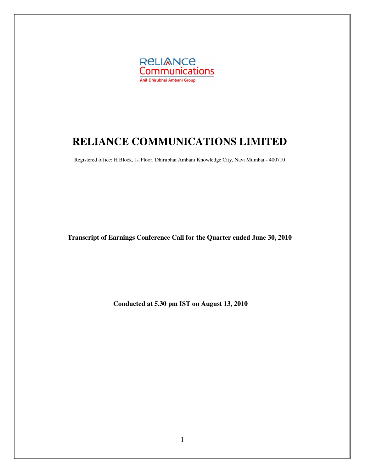

# **RELIANCE COMMUNICATIONS LIMITED**

Registered office: H Block, 1st Floor, Dhirubhai Ambani Knowledge City, Navi Mumbai - 400710

**Transcript of Earnings Conference Call for the Quarter ended June 30, 2010** 

**Conducted at 5.30 pm IST on August 13, 2010**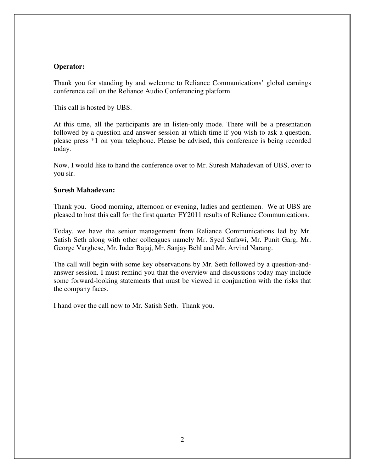#### **Operator:**

Thank you for standing by and welcome to Reliance Communications' global earnings conference call on the Reliance Audio Conferencing platform.

This call is hosted by UBS.

At this time, all the participants are in listen-only mode. There will be a presentation followed by a question and answer session at which time if you wish to ask a question, please press \*1 on your telephone. Please be advised, this conference is being recorded today.

Now, I would like to hand the conference over to Mr. Suresh Mahadevan of UBS, over to you sir.

#### **Suresh Mahadevan:**

Thank you. Good morning, afternoon or evening, ladies and gentlemen. We at UBS are pleased to host this call for the first quarter FY2011 results of Reliance Communications.

Today, we have the senior management from Reliance Communications led by Mr. Satish Seth along with other colleagues namely Mr. Syed Safawi, Mr. Punit Garg, Mr. George Varghese, Mr. Inder Bajaj, Mr. Sanjay Behl and Mr. Arvind Narang.

The call will begin with some key observations by Mr. Seth followed by a question-andanswer session. I must remind you that the overview and discussions today may include some forward-looking statements that must be viewed in conjunction with the risks that the company faces.

I hand over the call now to Mr. Satish Seth. Thank you.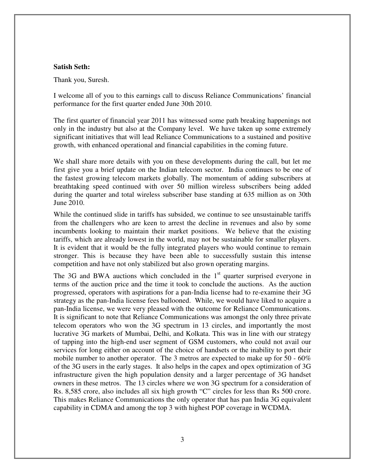#### **Satish Seth:**

Thank you, Suresh.

I welcome all of you to this earnings call to discuss Reliance Communications' financial performance for the first quarter ended June 30th 2010.

The first quarter of financial year 2011 has witnessed some path breaking happenings not only in the industry but also at the Company level. We have taken up some extremely significant initiatives that will lead Reliance Communications to a sustained and positive growth, with enhanced operational and financial capabilities in the coming future.

We shall share more details with you on these developments during the call, but let me first give you a brief update on the Indian telecom sector. India continues to be one of the fastest growing telecom markets globally. The momentum of adding subscribers at breathtaking speed continued with over 50 million wireless subscribers being added during the quarter and total wireless subscriber base standing at 635 million as on 30th June 2010.

While the continued slide in tariffs has subsided, we continue to see unsustainable tariffs from the challengers who are keen to arrest the decline in revenues and also by some incumbents looking to maintain their market positions. We believe that the existing tariffs, which are already lowest in the world, may not be sustainable for smaller players. It is evident that it would be the fully integrated players who would continue to remain stronger. This is because they have been able to successfully sustain this intense competition and have not only stabilized but also grown operating margins.

The 3G and BWA auctions which concluded in the  $1<sup>st</sup>$  quarter surprised everyone in terms of the auction price and the time it took to conclude the auctions. As the auction progressed, operators with aspirations for a pan-India license had to re-examine their 3G strategy as the pan-India license fees ballooned. While, we would have liked to acquire a pan-India license, we were very pleased with the outcome for Reliance Communications. It is significant to note that Reliance Communications was amongst the only three private telecom operators who won the 3G spectrum in 13 circles, and importantly the most lucrative 3G markets of Mumbai, Delhi, and Kolkata. This was in line with our strategy of tapping into the high-end user segment of GSM customers, who could not avail our services for long either on account of the choice of handsets or the inability to port their mobile number to another operator. The 3 metros are expected to make up for  $50 - 60\%$ of the 3G users in the early stages. It also helps in the capex and opex optimization of 3G infrastructure given the high population density and a larger percentage of 3G handset owners in these metros. The 13 circles where we won 3G spectrum for a consideration of Rs. 8,585 crore, also includes all six high growth "C" circles for less than Rs 500 crore. This makes Reliance Communications the only operator that has pan India 3G equivalent capability in CDMA and among the top 3 with highest POP coverage in WCDMA.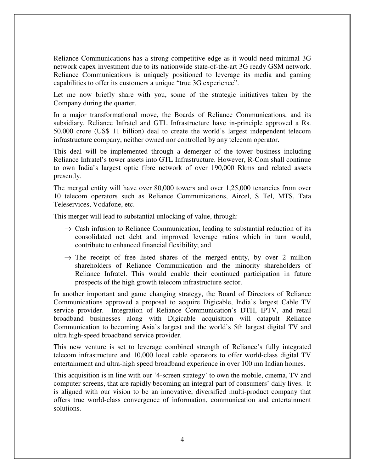Reliance Communications has a strong competitive edge as it would need minimal 3G network capex investment due to its nationwide state-of-the-art 3G ready GSM network. Reliance Communications is uniquely positioned to leverage its media and gaming capabilities to offer its customers a unique "true 3G experience".

Let me now briefly share with you, some of the strategic initiatives taken by the Company during the quarter.

In a major transformational move, the Boards of Reliance Communications, and its subsidiary, Reliance Infratel and GTL Infrastructure have in-principle approved a Rs. 50,000 crore (US\$ 11 billion) deal to create the world's largest independent telecom infrastructure company, neither owned nor controlled by any telecom operator.

This deal will be implemented through a demerger of the tower business including Reliance Infratel's tower assets into GTL Infrastructure. However, R-Com shall continue to own India's largest optic fibre network of over 190,000 Rkms and related assets presently.

The merged entity will have over 80,000 towers and over 1,25,000 tenancies from over 10 telecom operators such as Reliance Communications, Aircel, S Tel, MTS, Tata Teleservices, Vodafone, etc.

This merger will lead to substantial unlocking of value, through:

- $\rightarrow$  Cash infusion to Reliance Communication, leading to substantial reduction of its consolidated net debt and improved leverage ratios which in turn would, contribute to enhanced financial flexibility; and
- $\rightarrow$  The receipt of free listed shares of the merged entity, by over 2 million shareholders of Reliance Communication and the minority shareholders of Reliance Infratel. This would enable their continued participation in future prospects of the high growth telecom infrastructure sector.

In another important and game changing strategy, the Board of Directors of Reliance Communications approved a proposal to acquire Digicable, India's largest Cable TV service provider. Integration of Reliance Communication's DTH, IPTV, and retail broadband businesses along with Digicable acquisition will catapult Reliance Communication to becoming Asia's largest and the world's 5th largest digital TV and ultra high-speed broadband service provider.

This new venture is set to leverage combined strength of Reliance's fully integrated telecom infrastructure and 10,000 local cable operators to offer world-class digital TV entertainment and ultra-high speed broadband experience in over 100 mn Indian homes.

This acquisition is in line with our '4-screen strategy' to own the mobile, cinema, TV and computer screens, that are rapidly becoming an integral part of consumers' daily lives. It is aligned with our vision to be an innovative, diversified multi-product company that offers true world-class convergence of information, communication and entertainment solutions.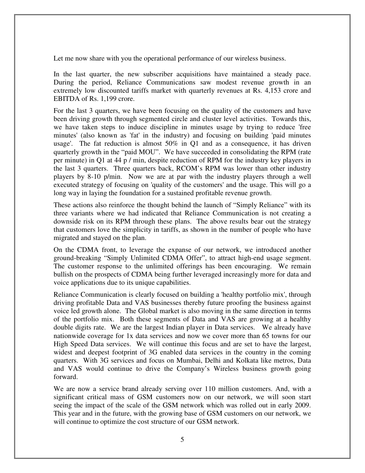Let me now share with you the operational performance of our wireless business.

In the last quarter, the new subscriber acquisitions have maintained a steady pace. During the period, Reliance Communications saw modest revenue growth in an extremely low discounted tariffs market with quarterly revenues at Rs. 4,153 crore and EBITDA of Rs. 1,199 crore.

For the last 3 quarters, we have been focusing on the quality of the customers and have been driving growth through segmented circle and cluster level activities. Towards this, we have taken steps to induce discipline in minutes usage by trying to reduce 'free minutes' (also known as 'fat' in the industry) and focusing on building 'paid minutes usage'. The fat reduction is almost  $50\%$  in Q1 and as a consequence, it has driven quarterly growth in the "paid MOU". We have succeeded in consolidating the RPM (rate per minute) in Q1 at 44 p / min, despite reduction of RPM for the industry key players in the last 3 quarters. Three quarters back, RCOM's RPM was lower than other industry players by 8-10 p/min. Now we are at par with the industry players through a well executed strategy of focusing on 'quality of the customers' and the usage. This will go a long way in laying the foundation for a sustained profitable revenue growth.

These actions also reinforce the thought behind the launch of "Simply Reliance" with its three variants where we had indicated that Reliance Communication is not creating a downside risk on its RPM through these plans. The above results bear out the strategy that customers love the simplicity in tariffs, as shown in the number of people who have migrated and stayed on the plan.

On the CDMA front, to leverage the expanse of our network, we introduced another ground-breaking "Simply Unlimited CDMA Offer", to attract high-end usage segment. The customer response to the unlimited offerings has been encouraging. We remain bullish on the prospects of CDMA being further leveraged increasingly more for data and voice applications due to its unique capabilities.

Reliance Communication is clearly focused on building a 'healthy portfolio mix', through driving profitable Data and VAS businesses thereby future proofing the business against voice led growth alone. The Global market is also moving in the same direction in terms of the portfolio mix. Both these segments of Data and VAS are growing at a healthy double digits rate. We are the largest Indian player in Data services. We already have nationwide coverage for 1x data services and now we cover more than 65 towns for our High Speed Data services. We will continue this focus and are set to have the largest, widest and deepest footprint of 3G enabled data services in the country in the coming quarters. With 3G services and focus on Mumbai, Delhi and Kolkata like metros, Data and VAS would continue to drive the Company's Wireless business growth going forward.

We are now a service brand already serving over 110 million customers. And, with a significant critical mass of GSM customers now on our network, we will soon start seeing the impact of the scale of the GSM network which was rolled out in early 2009. This year and in the future, with the growing base of GSM customers on our network, we will continue to optimize the cost structure of our GSM network.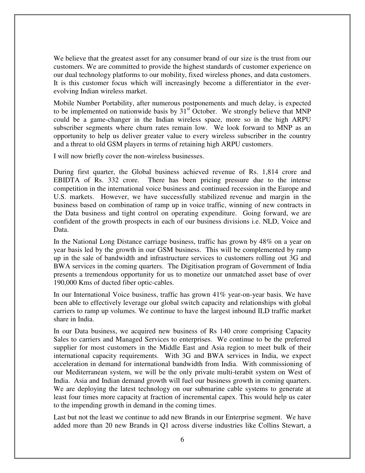We believe that the greatest asset for any consumer brand of our size is the trust from our customers. We are committed to provide the highest standards of customer experience on our dual technology platforms to our mobility, fixed wireless phones, and data customers. It is this customer focus which will increasingly become a differentiator in the everevolving Indian wireless market.

Mobile Number Portability, after numerous postponements and much delay, is expected to be implemented on nationwide basis by  $31<sup>st</sup>$  October. We strongly believe that MNP could be a game-changer in the Indian wireless space, more so in the high ARPU subscriber segments where churn rates remain low. We look forward to MNP as an opportunity to help us deliver greater value to every wireless subscriber in the country and a threat to old GSM players in terms of retaining high ARPU customers.

I will now briefly cover the non-wireless businesses.

During first quarter, the Global business achieved revenue of Rs. 1,814 crore and EBIDTA of Rs. 332 crore. There has been pricing pressure due to the intense competition in the international voice business and continued recession in the Europe and U.S. markets. However, we have successfully stabilized revenue and margin in the business based on combination of ramp up in voice traffic, winning of new contracts in the Data business and tight control on operating expenditure. Going forward, we are confident of the growth prospects in each of our business divisions i.e. NLD, Voice and Data.

In the National Long Distance carriage business, traffic has grown by 48% on a year on year basis led by the growth in our GSM business. This will be complemented by ramp up in the sale of bandwidth and infrastructure services to customers rolling out 3G and BWA services in the coming quarters. The Digitisation program of Government of India presents a tremendous opportunity for us to monetize our unmatched asset base of over 190,000 Kms of ducted fiber optic-cables.

In our International Voice business, traffic has grown 41% year-on-year basis. We have been able to effectively leverage our global switch capacity and relationships with global carriers to ramp up volumes. We continue to have the largest inbound ILD traffic market share in India.

In our Data business, we acquired new business of Rs 140 crore comprising Capacity Sales to carriers and Managed Services to enterprises. We continue to be the preferred supplier for most customers in the Middle East and Asia region to meet bulk of their international capacity requirements. With 3G and BWA services in India, we expect acceleration in demand for international bandwidth from India. With commissioning of our Mediterranean system, we will be the only private multi-terabit system on West of India. Asia and Indian demand growth will fuel our business growth in coming quarters. We are deploying the latest technology on our submarine cable systems to generate at least four times more capacity at fraction of incremental capex. This would help us cater to the impending growth in demand in the coming times.

Last but not the least we continue to add new Brands in our Enterprise segment. We have added more than 20 new Brands in Q1 across diverse industries like Collins Stewart, a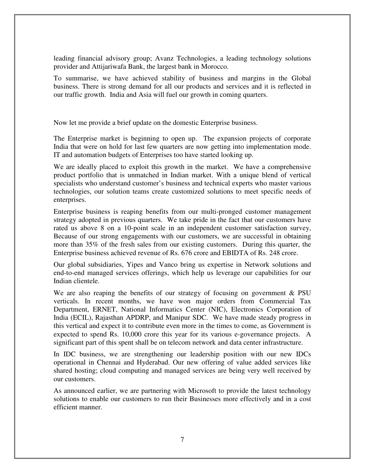leading financial advisory group; Avanz Technologies, a leading technology solutions provider and Attijariwafa Bank, the largest bank in Morocco.

To summarise, we have achieved stability of business and margins in the Global business. There is strong demand for all our products and services and it is reflected in our traffic growth. India and Asia will fuel our growth in coming quarters.

Now let me provide a brief update on the domestic Enterprise business.

The Enterprise market is beginning to open up. The expansion projects of corporate India that were on hold for last few quarters are now getting into implementation mode. IT and automation budgets of Enterprises too have started looking up.

We are ideally placed to exploit this growth in the market. We have a comprehensive product portfolio that is unmatched in Indian market. With a unique blend of vertical specialists who understand customer's business and technical experts who master various technologies, our solution teams create customized solutions to meet specific needs of enterprises.

Enterprise business is reaping benefits from our multi-pronged customer management strategy adopted in previous quarters. We take pride in the fact that our customers have rated us above 8 on a 10-point scale in an independent customer satisfaction survey, Because of our strong engagements with our customers, we are successful in obtaining more than 35% of the fresh sales from our existing customers. During this quarter, the Enterprise business achieved revenue of Rs. 676 crore and EBIDTA of Rs. 248 crore.

Our global subsidiaries, Yipes and Vanco bring us expertise in Network solutions and end-to-end managed services offerings, which help us leverage our capabilities for our Indian clientele.

We are also reaping the benefits of our strategy of focusing on government  $\&$  PSU verticals. In recent months, we have won major orders from Commercial Tax Department, ERNET, National Informatics Center (NIC), Electronics Corporation of India (ECIL), Rajasthan APDRP, and Manipur SDC. We have made steady progress in this vertical and expect it to contribute even more in the times to come, as Government is expected to spend Rs. 10,000 crore this year for its various e-governance projects. A significant part of this spent shall be on telecom network and data center infrastructure.

In IDC business, we are strengthening our leadership position with our new IDCs operational in Chennai and Hyderabad. Our new offering of value added services like shared hosting; cloud computing and managed services are being very well received by our customers.

As announced earlier, we are partnering with Microsoft to provide the latest technology solutions to enable our customers to run their Businesses more effectively and in a cost efficient manner.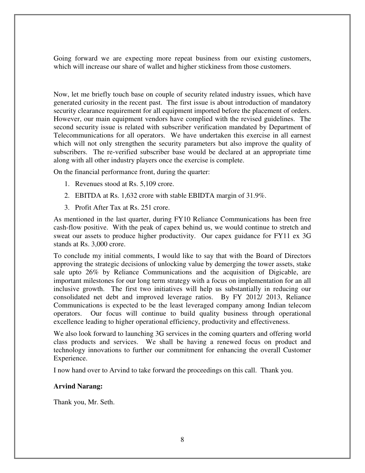Going forward we are expecting more repeat business from our existing customers, which will increase our share of wallet and higher stickiness from those customers.

Now, let me briefly touch base on couple of security related industry issues, which have generated curiosity in the recent past. The first issue is about introduction of mandatory security clearance requirement for all equipment imported before the placement of orders. However, our main equipment vendors have complied with the revised guidelines. The second security issue is related with subscriber verification mandated by Department of Telecommunications for all operators. We have undertaken this exercise in all earnest which will not only strengthen the security parameters but also improve the quality of subscribers. The re-verified subscriber base would be declared at an appropriate time along with all other industry players once the exercise is complete.

On the financial performance front, during the quarter:

- 1. Revenues stood at Rs. 5,109 crore.
- 2. EBITDA at Rs. 1,632 crore with stable EBIDTA margin of 31.9%.
- 3. Profit After Tax at Rs. 251 crore.

As mentioned in the last quarter, during FY10 Reliance Communications has been free cash-flow positive. With the peak of capex behind us, we would continue to stretch and sweat our assets to produce higher productivity. Our capex guidance for FY11 ex 3G stands at Rs. 3,000 crore.

To conclude my initial comments, I would like to say that with the Board of Directors approving the strategic decisions of unlocking value by demerging the tower assets, stake sale upto 26% by Reliance Communications and the acquisition of Digicable, are important milestones for our long term strategy with a focus on implementation for an all inclusive growth. The first two initiatives will help us substantially in reducing our consolidated net debt and improved leverage ratios. By FY 2012/ 2013, Reliance Communications is expected to be the least leveraged company among Indian telecom operators. Our focus will continue to build quality business through operational excellence leading to higher operational efficiency, productivity and effectiveness.

We also look forward to launching 3G services in the coming quarters and offering world class products and services. We shall be having a renewed focus on product and technology innovations to further our commitment for enhancing the overall Customer Experience.

I now hand over to Arvind to take forward the proceedings on this call. Thank you.

#### **Arvind Narang:**

Thank you, Mr. Seth.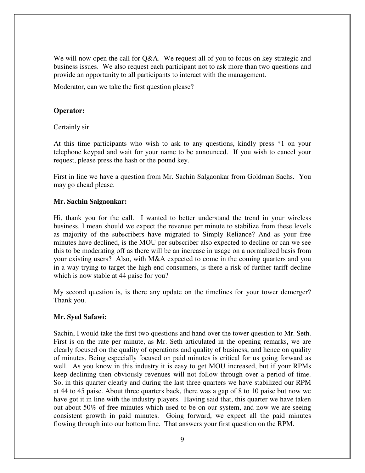We will now open the call for Q&A. We request all of you to focus on key strategic and business issues. We also request each participant not to ask more than two questions and provide an opportunity to all participants to interact with the management.

Moderator, can we take the first question please?

# **Operator:**

Certainly sir.

At this time participants who wish to ask to any questions, kindly press \*1 on your telephone keypad and wait for your name to be announced. If you wish to cancel your request, please press the hash or the pound key.

First in line we have a question from Mr. Sachin Salgaonkar from Goldman Sachs. You may go ahead please.

## **Mr. Sachin Salgaonkar:**

Hi, thank you for the call. I wanted to better understand the trend in your wireless business. I mean should we expect the revenue per minute to stabilize from these levels as majority of the subscribers have migrated to Simply Reliance? And as your free minutes have declined, is the MOU per subscriber also expected to decline or can we see this to be moderating off as there will be an increase in usage on a normalized basis from your existing users? Also, with M&A expected to come in the coming quarters and you in a way trying to target the high end consumers, is there a risk of further tariff decline which is now stable at 44 paise for you?

My second question is, is there any update on the timelines for your tower demerger? Thank you.

# **Mr. Syed Safawi:**

Sachin, I would take the first two questions and hand over the tower question to Mr. Seth. First is on the rate per minute, as Mr. Seth articulated in the opening remarks, we are clearly focused on the quality of operations and quality of business, and hence on quality of minutes. Being especially focused on paid minutes is critical for us going forward as well. As you know in this industry it is easy to get MOU increased, but if your RPMs keep declining then obviously revenues will not follow through over a period of time. So, in this quarter clearly and during the last three quarters we have stabilized our RPM at 44 to 45 paise. About three quarters back, there was a gap of 8 to 10 paise but now we have got it in line with the industry players. Having said that, this quarter we have taken out about 50% of free minutes which used to be on our system, and now we are seeing consistent growth in paid minutes. Going forward, we expect all the paid minutes flowing through into our bottom line. That answers your first question on the RPM.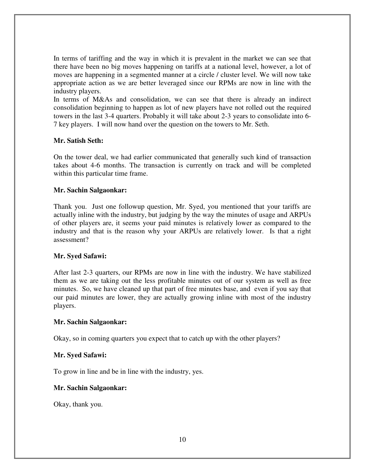In terms of tariffing and the way in which it is prevalent in the market we can see that there have been no big moves happening on tariffs at a national level, however, a lot of moves are happening in a segmented manner at a circle / cluster level. We will now take appropriate action as we are better leveraged since our RPMs are now in line with the industry players.

In terms of M&As and consolidation, we can see that there is already an indirect consolidation beginning to happen as lot of new players have not rolled out the required towers in the last 3-4 quarters. Probably it will take about 2-3 years to consolidate into 6- 7 key players. I will now hand over the question on the towers to Mr. Seth.

#### **Mr. Satish Seth:**

On the tower deal, we had earlier communicated that generally such kind of transaction takes about 4-6 months. The transaction is currently on track and will be completed within this particular time frame.

## **Mr. Sachin Salgaonkar:**

Thank you. Just one followup question, Mr. Syed, you mentioned that your tariffs are actually inline with the industry, but judging by the way the minutes of usage and ARPUs of other players are, it seems your paid minutes is relatively lower as compared to the industry and that is the reason why your ARPUs are relatively lower. Is that a right assessment?

# **Mr. Syed Safawi:**

After last 2-3 quarters, our RPMs are now in line with the industry. We have stabilized them as we are taking out the less profitable minutes out of our system as well as free minutes. So, we have cleaned up that part of free minutes base, and even if you say that our paid minutes are lower, they are actually growing inline with most of the industry players.

#### **Mr. Sachin Salgaonkar:**

Okay, so in coming quarters you expect that to catch up with the other players?

#### **Mr. Syed Safawi:**

To grow in line and be in line with the industry, yes.

#### **Mr. Sachin Salgaonkar:**

Okay, thank you.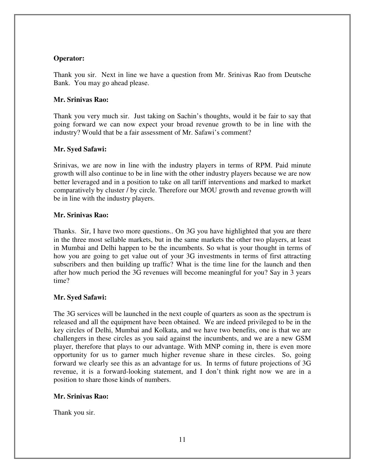# **Operator:**

Thank you sir. Next in line we have a question from Mr. Srinivas Rao from Deutsche Bank. You may go ahead please.

#### **Mr. Srinivas Rao:**

Thank you very much sir. Just taking on Sachin's thoughts, would it be fair to say that going forward we can now expect your broad revenue growth to be in line with the industry? Would that be a fair assessment of Mr. Safawi's comment?

## **Mr. Syed Safawi:**

Srinivas, we are now in line with the industry players in terms of RPM. Paid minute growth will also continue to be in line with the other industry players because we are now better leveraged and in a position to take on all tariff interventions and marked to market comparatively by cluster / by circle. Therefore our MOU growth and revenue growth will be in line with the industry players.

## **Mr. Srinivas Rao:**

Thanks. Sir, I have two more questions.. On 3G you have highlighted that you are there in the three most sellable markets, but in the same markets the other two players, at least in Mumbai and Delhi happen to be the incumbents. So what is your thought in terms of how you are going to get value out of your 3G investments in terms of first attracting subscribers and then building up traffic? What is the time line for the launch and then after how much period the 3G revenues will become meaningful for you? Say in 3 years time?

# **Mr. Syed Safawi:**

The 3G services will be launched in the next couple of quarters as soon as the spectrum is released and all the equipment have been obtained. We are indeed privileged to be in the key circles of Delhi, Mumbai and Kolkata, and we have two benefits, one is that we are challengers in these circles as you said against the incumbents, and we are a new GSM player, therefore that plays to our advantage. With MNP coming in, there is even more opportunity for us to garner much higher revenue share in these circles. So, going forward we clearly see this as an advantage for us. In terms of future projections of 3G revenue, it is a forward-looking statement, and I don't think right now we are in a position to share those kinds of numbers.

# **Mr. Srinivas Rao:**

Thank you sir.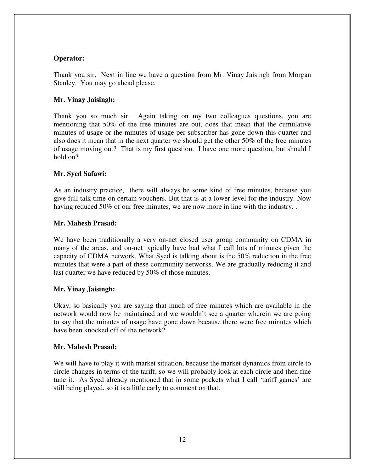# **Operator:**

Thank you sir. Next in line we have a question from Mr. Vinay Jaisingh from Morgan Stanley. You may go ahead please.

# **Mr. Vinay Jaisingh:**

Thank you so much sir. Again taking on my two colleagues questions, you are mentioning that 50% of the free minutes are out, does that mean that the cumulative minutes of usage or the minutes of usage per subscriber has gone down this quarter and also does it mean that in the next quarter we should get the other 50% of the free minutes of usage moving out? That is my first question. I have one more question, but should I hold on?

# **Mr. Syed Safawi:**

As an industry practice, there will always be some kind of free minutes, because you give full talk time on certain vouchers. But that is at a lower level for the industry. Now having reduced 50% of our free minutes, we are now more in line with the industry...

#### **Mr. Mahesh Prasad:**

We have been traditionally a very on-net closed user group community on CDMA in many of the areas, and on-net typically have had what I call lots of minutes given the capacity of CDMA network. What Syed is talking about is the 50% reduction in the free minutes that were a part of these community networks. We are gradually reducing it and last quarter we have reduced by 50% of those minutes.

# **Mr. Vinay Jaisingh:**

Okay, so basically you are saying that much of free minutes which are available in the network would now be maintained and we wouldn't see a quarter wherein we are going to say that the minutes of usage have gone down because there were free minutes which have been knocked off of the network?

#### **Mr. Mahesh Prasad:**

We will have to play it with market situation, because the market dynamics from circle to circle changes in terms of the tariff, so we will probably look at each circle and then fine tune it. As Syed already mentioned that in some pockets what I call 'tariff games' are still being played, so it is a little early to comment on that.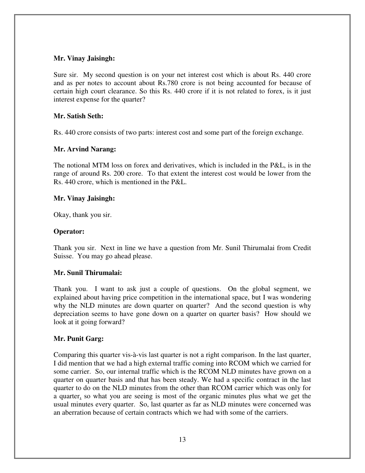## **Mr. Vinay Jaisingh:**

Sure sir. My second question is on your net interest cost which is about Rs. 440 crore and as per notes to account about Rs.780 crore is not being accounted for because of certain high court clearance. So this Rs. 440 crore if it is not related to forex, is it just interest expense for the quarter?

# **Mr. Satish Seth:**

Rs. 440 crore consists of two parts: interest cost and some part of the foreign exchange.

## **Mr. Arvind Narang:**

The notional MTM loss on forex and derivatives, which is included in the P&L, is in the range of around Rs. 200 crore. To that extent the interest cost would be lower from the Rs. 440 crore, which is mentioned in the P&L.

## **Mr. Vinay Jaisingh:**

Okay, thank you sir.

## **Operator:**

Thank you sir. Next in line we have a question from Mr. Sunil Thirumalai from Credit Suisse. You may go ahead please.

# **Mr. Sunil Thirumalai:**

Thank you. I want to ask just a couple of questions. On the global segment, we explained about having price competition in the international space, but I was wondering why the NLD minutes are down quarter on quarter? And the second question is why depreciation seems to have gone down on a quarter on quarter basis? How should we look at it going forward?

# **Mr. Punit Garg:**

Comparing this quarter vis-à-vis last quarter is not a right comparison. In the last quarter, I did mention that we had a high external traffic coming into RCOM which we carried for some carrier. So, our internal traffic which is the RCOM NLD minutes have grown on a quarter on quarter basis and that has been steady. We had a specific contract in the last quarter to do on the NLD minutes from the other than RCOM carrier which was only for a quarter, so what you are seeing is most of the organic minutes plus what we get the usual minutes every quarter. So, last quarter as far as NLD minutes were concerned was an aberration because of certain contracts which we had with some of the carriers.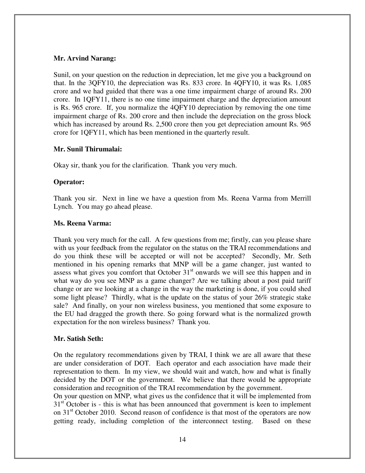# **Mr. Arvind Narang:**

Sunil, on your question on the reduction in depreciation, let me give you a background on that. In the 3QFY10, the depreciation was Rs. 833 crore. In 4QFY10, it was Rs. 1,085 crore and we had guided that there was a one time impairment charge of around Rs. 200 crore. In 1QFY11, there is no one time impairment charge and the depreciation amount is Rs. 965 crore. If, you normalize the 4QFY10 depreciation by removing the one time impairment charge of Rs. 200 crore and then include the depreciation on the gross block which has increased by around Rs. 2,500 crore then you get depreciation amount Rs. 965 crore for 1QFY11, which has been mentioned in the quarterly result.

## **Mr. Sunil Thirumalai:**

Okay sir, thank you for the clarification. Thank you very much.

# **Operator:**

Thank you sir. Next in line we have a question from Ms. Reena Varma from Merrill Lynch. You may go ahead please.

## **Ms. Reena Varma:**

Thank you very much for the call. A few questions from me; firstly, can you please share with us your feedback from the regulator on the status on the TRAI recommendations and do you think these will be accepted or will not be accepted? Secondly, Mr. Seth mentioned in his opening remarks that MNP will be a game changer, just wanted to assess what gives you comfort that October  $31<sup>st</sup>$  onwards we will see this happen and in what way do you see MNP as a game changer? Are we talking about a post paid tariff change or are we looking at a change in the way the marketing is done, if you could shed some light please? Thirdly, what is the update on the status of your 26% strategic stake sale? And finally, on your non wireless business, you mentioned that some exposure to the EU had dragged the growth there. So going forward what is the normalized growth expectation for the non wireless business? Thank you.

# **Mr. Satish Seth:**

On the regulatory recommendations given by TRAI, I think we are all aware that these are under consideration of DOT. Each operator and each association have made their representation to them. In my view, we should wait and watch, how and what is finally decided by the DOT or the government. We believe that there would be appropriate consideration and recognition of the TRAI recommendation by the government.

On your question on MNP, what gives us the confidence that it will be implemented from  $31<sup>st</sup>$  October is - this is what has been announced that government is keen to implement on  $31<sup>st</sup>$  October 2010. Second reason of confidence is that most of the operators are now getting ready, including completion of the interconnect testing. Based on these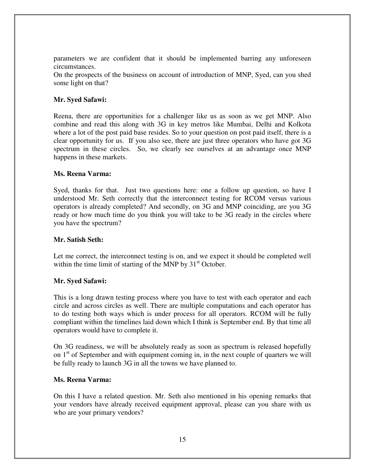parameters we are confident that it should be implemented barring any unforeseen circumstances.

On the prospects of the business on account of introduction of MNP, Syed, can you shed some light on that?

# **Mr. Syed Safawi:**

Reena, there are opportunities for a challenger like us as soon as we get MNP. Also combine and read this along with 3G in key metros like Mumbai, Delhi and Kolkota where a lot of the post paid base resides. So to your question on post paid itself, there is a clear opportunity for us. If you also see, there are just three operators who have got 3G spectrum in these circles. So, we clearly see ourselves at an advantage once MNP happens in these markets.

#### **Ms. Reena Varma:**

Syed, thanks for that. Just two questions here: one a follow up question, so have I understood Mr. Seth correctly that the interconnect testing for RCOM versus various operators is already completed? And secondly, on 3G and MNP coinciding, are you 3G ready or how much time do you think you will take to be 3G ready in the circles where you have the spectrum?

#### **Mr. Satish Seth:**

Let me correct, the interconnect testing is on, and we expect it should be completed well within the time limit of starting of the MNP by  $31<sup>st</sup>$  October.

#### **Mr. Syed Safawi:**

This is a long drawn testing process where you have to test with each operator and each circle and across circles as well. There are multiple computations and each operator has to do testing both ways which is under process for all operators. RCOM will be fully compliant within the timelines laid down which I think is September end. By that time all operators would have to complete it.

On 3G readiness, we will be absolutely ready as soon as spectrum is released hopefully on  $1<sup>st</sup>$  of September and with equipment coming in, in the next couple of quarters we will be fully ready to launch 3G in all the towns we have planned to.

#### **Ms. Reena Varma:**

On this I have a related question. Mr. Seth also mentioned in his opening remarks that your vendors have already received equipment approval, please can you share with us who are your primary vendors?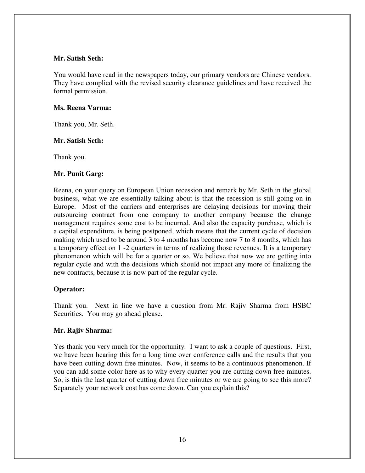## **Mr. Satish Seth:**

You would have read in the newspapers today, our primary vendors are Chinese vendors. They have complied with the revised security clearance guidelines and have received the formal permission.

# **Ms. Reena Varma:**

Thank you, Mr. Seth.

# **Mr. Satish Seth:**

Thank you.

# **Mr. Punit Garg:**

Reena, on your query on European Union recession and remark by Mr. Seth in the global business, what we are essentially talking about is that the recession is still going on in Europe. Most of the carriers and enterprises are delaying decisions for moving their outsourcing contract from one company to another company because the change management requires some cost to be incurred. And also the capacity purchase, which is a capital expenditure, is being postponed, which means that the current cycle of decision making which used to be around 3 to 4 months has become now 7 to 8 months, which has a temporary effect on 1 -2 quarters in terms of realizing those revenues. It is a temporary phenomenon which will be for a quarter or so. We believe that now we are getting into regular cycle and with the decisions which should not impact any more of finalizing the new contracts, because it is now part of the regular cycle.

# **Operator:**

Thank you. Next in line we have a question from Mr. Rajiv Sharma from HSBC Securities. You may go ahead please.

# **Mr. Rajiv Sharma:**

Yes thank you very much for the opportunity. I want to ask a couple of questions. First, we have been hearing this for a long time over conference calls and the results that you have been cutting down free minutes. Now, it seems to be a continuous phenomenon. If you can add some color here as to why every quarter you are cutting down free minutes. So, is this the last quarter of cutting down free minutes or we are going to see this more? Separately your network cost has come down. Can you explain this?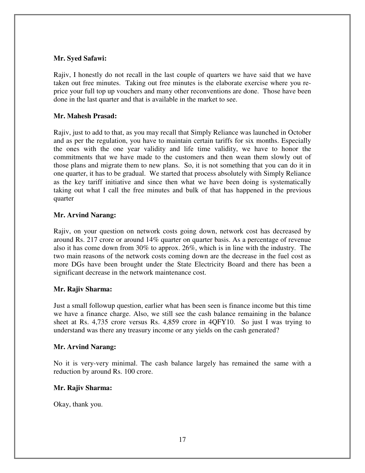## **Mr. Syed Safawi:**

Rajiv, I honestly do not recall in the last couple of quarters we have said that we have taken out free minutes. Taking out free minutes is the elaborate exercise where you reprice your full top up vouchers and many other reconventions are done. Those have been done in the last quarter and that is available in the market to see.

# **Mr. Mahesh Prasad:**

Rajiv, just to add to that, as you may recall that Simply Reliance was launched in October and as per the regulation, you have to maintain certain tariffs for six months. Especially the ones with the one year validity and life time validity, we have to honor the commitments that we have made to the customers and then wean them slowly out of those plans and migrate them to new plans. So, it is not something that you can do it in one quarter, it has to be gradual. We started that process absolutely with Simply Reliance as the key tariff initiative and since then what we have been doing is systematically taking out what I call the free minutes and bulk of that has happened in the previous quarter

## **Mr. Arvind Narang:**

Rajiv, on your question on network costs going down, network cost has decreased by around Rs. 217 crore or around 14% quarter on quarter basis. As a percentage of revenue also it has come down from 30% to approx. 26%, which is in line with the industry. The two main reasons of the network costs coming down are the decrease in the fuel cost as more DGs have been brought under the State Electricity Board and there has been a significant decrease in the network maintenance cost.

#### **Mr. Rajiv Sharma:**

Just a small followup question, earlier what has been seen is finance income but this time we have a finance charge. Also, we still see the cash balance remaining in the balance sheet at Rs. 4,735 crore versus Rs. 4,859 crore in 4QFY10. So just I was trying to understand was there any treasury income or any yields on the cash generated?

#### **Mr. Arvind Narang:**

No it is very-very minimal. The cash balance largely has remained the same with a reduction by around Rs. 100 crore.

#### **Mr. Rajiv Sharma:**

Okay, thank you.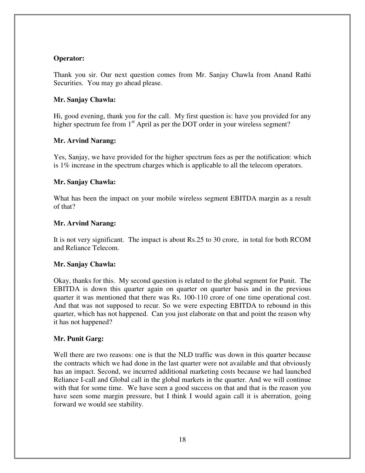# **Operator:**

Thank you sir. Our next question comes from Mr. Sanjay Chawla from Anand Rathi Securities. You may go ahead please.

## **Mr. Sanjay Chawla:**

Hi, good evening, thank you for the call. My first question is: have you provided for any higher spectrum fee from  $1<sup>st</sup>$  April as per the DOT order in your wireless segment?

## **Mr. Arvind Narang:**

Yes, Sanjay, we have provided for the higher spectrum fees as per the notification: which is 1% increase in the spectrum charges which is applicable to all the telecom operators.

## **Mr. Sanjay Chawla:**

What has been the impact on your mobile wireless segment EBITDA margin as a result of that?

# **Mr. Arvind Narang:**

It is not very significant. The impact is about Rs.25 to 30 crore, in total for both RCOM and Reliance Telecom.

# **Mr. Sanjay Chawla:**

Okay, thanks for this. My second question is related to the global segment for Punit. The EBITDA is down this quarter again on quarter on quarter basis and in the previous quarter it was mentioned that there was Rs. 100-110 crore of one time operational cost. And that was not supposed to recur. So we were expecting EBITDA to rebound in this quarter, which has not happened. Can you just elaborate on that and point the reason why it has not happened?

# **Mr. Punit Garg:**

Well there are two reasons: one is that the NLD traffic was down in this quarter because the contracts which we had done in the last quarter were not available and that obviously has an impact. Second, we incurred additional marketing costs because we had launched Reliance I-call and Global call in the global markets in the quarter. And we will continue with that for some time. We have seen a good success on that and that is the reason you have seen some margin pressure, but I think I would again call it is aberration, going forward we would see stability.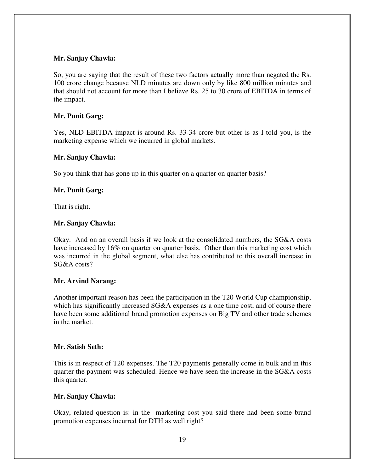# **Mr. Sanjay Chawla:**

So, you are saying that the result of these two factors actually more than negated the Rs. 100 crore change because NLD minutes are down only by like 800 million minutes and that should not account for more than I believe Rs. 25 to 30 crore of EBITDA in terms of the impact.

# **Mr. Punit Garg:**

Yes, NLD EBITDA impact is around Rs. 33-34 crore but other is as I told you, is the marketing expense which we incurred in global markets.

#### **Mr. Sanjay Chawla:**

So you think that has gone up in this quarter on a quarter on quarter basis?

# **Mr. Punit Garg:**

That is right.

## **Mr. Sanjay Chawla:**

Okay. And on an overall basis if we look at the consolidated numbers, the SG&A costs have increased by 16% on quarter on quarter basis. Other than this marketing cost which was incurred in the global segment, what else has contributed to this overall increase in SG&A costs?

# **Mr. Arvind Narang:**

Another important reason has been the participation in the T20 World Cup championship, which has significantly increased SG&A expenses as a one time cost, and of course there have been some additional brand promotion expenses on Big TV and other trade schemes in the market.

# **Mr. Satish Seth:**

This is in respect of T20 expenses. The T20 payments generally come in bulk and in this quarter the payment was scheduled. Hence we have seen the increase in the SG&A costs this quarter.

# **Mr. Sanjay Chawla:**

Okay, related question is: in the marketing cost you said there had been some brand promotion expenses incurred for DTH as well right?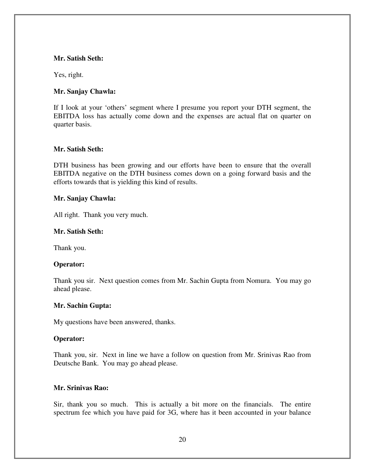#### **Mr. Satish Seth:**

Yes, right.

# **Mr. Sanjay Chawla:**

If I look at your 'others' segment where I presume you report your DTH segment, the EBITDA loss has actually come down and the expenses are actual flat on quarter on quarter basis.

## **Mr. Satish Seth:**

DTH business has been growing and our efforts have been to ensure that the overall EBITDA negative on the DTH business comes down on a going forward basis and the efforts towards that is yielding this kind of results.

#### **Mr. Sanjay Chawla:**

All right. Thank you very much.

## **Mr. Satish Seth:**

Thank you.

# **Operator:**

Thank you sir. Next question comes from Mr. Sachin Gupta from Nomura. You may go ahead please.

# **Mr. Sachin Gupta:**

My questions have been answered, thanks.

#### **Operator:**

Thank you, sir. Next in line we have a follow on question from Mr. Srinivas Rao from Deutsche Bank. You may go ahead please.

#### **Mr. Srinivas Rao:**

Sir, thank you so much. This is actually a bit more on the financials. The entire spectrum fee which you have paid for 3G, where has it been accounted in your balance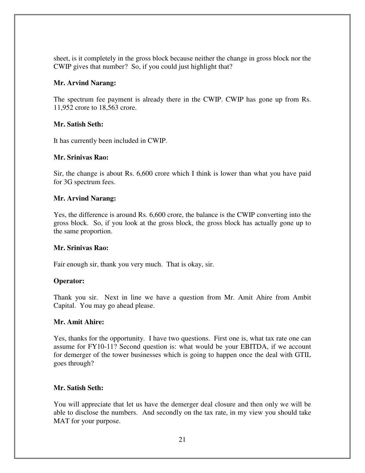sheet, is it completely in the gross block because neither the change in gross block nor the CWIP gives that number? So, if you could just highlight that?

## **Mr. Arvind Narang:**

The spectrum fee payment is already there in the CWIP. CWIP has gone up from Rs. 11,952 crore to 18,563 crore.

## **Mr. Satish Seth:**

It has currently been included in CWIP.

## **Mr. Srinivas Rao:**

Sir, the change is about Rs. 6,600 crore which I think is lower than what you have paid for 3G spectrum fees.

## **Mr. Arvind Narang:**

Yes, the difference is around Rs. 6,600 crore, the balance is the CWIP converting into the gross block. So, if you look at the gross block, the gross block has actually gone up to the same proportion.

#### **Mr. Srinivas Rao:**

Fair enough sir, thank you very much. That is okay, sir.

# **Operator:**

Thank you sir. Next in line we have a question from Mr. Amit Ahire from Ambit Capital. You may go ahead please.

#### **Mr. Amit Ahire:**

Yes, thanks for the opportunity. I have two questions. First one is, what tax rate one can assume for FY10-11? Second question is: what would be your EBITDA, if we account for demerger of the tower businesses which is going to happen once the deal with GTIL goes through?

# **Mr. Satish Seth:**

You will appreciate that let us have the demerger deal closure and then only we will be able to disclose the numbers. And secondly on the tax rate, in my view you should take MAT for your purpose.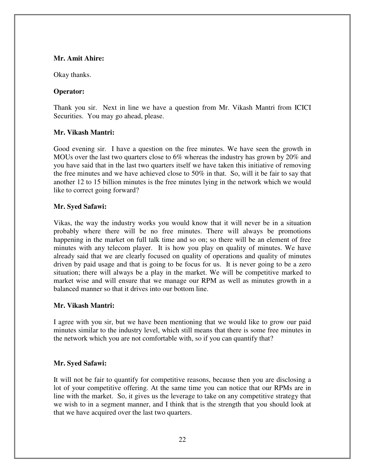#### **Mr. Amit Ahire:**

Okay thanks.

## **Operator:**

Thank you sir. Next in line we have a question from Mr. Vikash Mantri from ICICI Securities. You may go ahead, please.

## **Mr. Vikash Mantri:**

Good evening sir. I have a question on the free minutes. We have seen the growth in MOUs over the last two quarters close to 6% whereas the industry has grown by 20% and you have said that in the last two quarters itself we have taken this initiative of removing the free minutes and we have achieved close to  $50\%$  in that. So, will it be fair to say that another 12 to 15 billion minutes is the free minutes lying in the network which we would like to correct going forward?

# **Mr. Syed Safawi:**

Vikas, the way the industry works you would know that it will never be in a situation probably where there will be no free minutes. There will always be promotions happening in the market on full talk time and so on; so there will be an element of free minutes with any telecom player. It is how you play on quality of minutes. We have already said that we are clearly focused on quality of operations and quality of minutes driven by paid usage and that is going to be focus for us. It is never going to be a zero situation; there will always be a play in the market. We will be competitive marked to market wise and will ensure that we manage our RPM as well as minutes growth in a balanced manner so that it drives into our bottom line.

# **Mr. Vikash Mantri:**

I agree with you sir, but we have been mentioning that we would like to grow our paid minutes similar to the industry level, which still means that there is some free minutes in the network which you are not comfortable with, so if you can quantify that?

# **Mr. Syed Safawi:**

It will not be fair to quantify for competitive reasons, because then you are disclosing a lot of your competitive offering. At the same time you can notice that our RPMs are in line with the market. So, it gives us the leverage to take on any competitive strategy that we wish to in a segment manner, and I think that is the strength that you should look at that we have acquired over the last two quarters.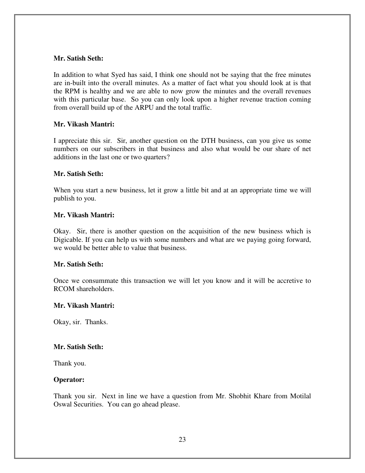#### **Mr. Satish Seth:**

In addition to what Syed has said, I think one should not be saying that the free minutes are in-built into the overall minutes. As a matter of fact what you should look at is that the RPM is healthy and we are able to now grow the minutes and the overall revenues with this particular base. So you can only look upon a higher revenue traction coming from overall build up of the ARPU and the total traffic.

## **Mr. Vikash Mantri:**

I appreciate this sir. Sir, another question on the DTH business, can you give us some numbers on our subscribers in that business and also what would be our share of net additions in the last one or two quarters?

#### **Mr. Satish Seth:**

When you start a new business, let it grow a little bit and at an appropriate time we will publish to you.

#### **Mr. Vikash Mantri:**

Okay. Sir, there is another question on the acquisition of the new business which is Digicable. If you can help us with some numbers and what are we paying going forward, we would be better able to value that business.

#### **Mr. Satish Seth:**

Once we consummate this transaction we will let you know and it will be accretive to RCOM shareholders.

#### **Mr. Vikash Mantri:**

Okay, sir. Thanks.

#### **Mr. Satish Seth:**

Thank you.

#### **Operator:**

Thank you sir. Next in line we have a question from Mr. Shobhit Khare from Motilal Oswal Securities. You can go ahead please.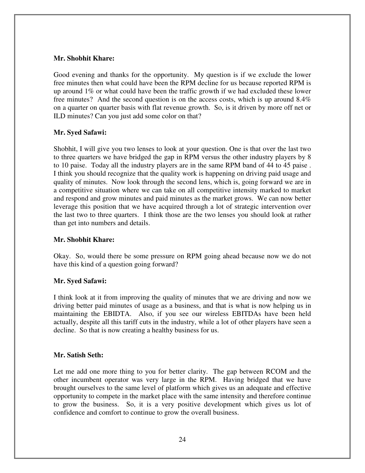## **Mr. Shobhit Khare:**

Good evening and thanks for the opportunity. My question is if we exclude the lower free minutes then what could have been the RPM decline for us because reported RPM is up around  $1\%$  or what could have been the traffic growth if we had excluded these lower free minutes? And the second question is on the access costs, which is up around 8.4% on a quarter on quarter basis with flat revenue growth. So, is it driven by more off net or ILD minutes? Can you just add some color on that?

## **Mr. Syed Safawi:**

Shobhit, I will give you two lenses to look at your question. One is that over the last two to three quarters we have bridged the gap in RPM versus the other industry players by 8 to 10 paise. Today all the industry players are in the same RPM band of 44 to 45 paise . I think you should recognize that the quality work is happening on driving paid usage and quality of minutes. Now look through the second lens, which is, going forward we are in a competitive situation where we can take on all competitive intensity marked to market and respond and grow minutes and paid minutes as the market grows. We can now better leverage this position that we have acquired through a lot of strategic intervention over the last two to three quarters. I think those are the two lenses you should look at rather than get into numbers and details.

# **Mr. Shobhit Khare:**

Okay. So, would there be some pressure on RPM going ahead because now we do not have this kind of a question going forward?

# **Mr. Syed Safawi:**

I think look at it from improving the quality of minutes that we are driving and now we driving better paid minutes of usage as a business, and that is what is now helping us in maintaining the EBIDTA. Also, if you see our wireless EBITDAs have been held actually, despite all this tariff cuts in the industry, while a lot of other players have seen a decline. So that is now creating a healthy business for us.

# **Mr. Satish Seth:**

Let me add one more thing to you for better clarity. The gap between RCOM and the other incumbent operator was very large in the RPM. Having bridged that we have brought ourselves to the same level of platform which gives us an adequate and effective opportunity to compete in the market place with the same intensity and therefore continue to grow the business. So, it is a very positive development which gives us lot of confidence and comfort to continue to grow the overall business.